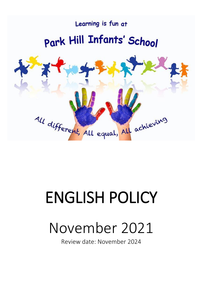

# ENGLISH POLICY

# November 2021

Review date: November 2024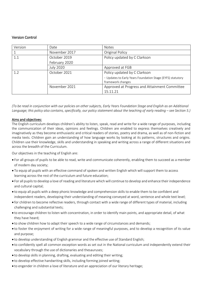# Version Control

| Version | Date             | <b>Notes</b>                                               |
|---------|------------------|------------------------------------------------------------|
|         | November 2017    | <b>Original Policy</b>                                     |
| 1.1     | October 2019     | Policy updated by C Clarkson                               |
|         | February 2020    |                                                            |
|         | <b>July 2020</b> | Approved at FGB                                            |
| 1.2     | October 2021     | Policy updated by C Clarkson                               |
|         |                  | - Updates to Early Years Foundation Stage (EYFS) statutory |
|         |                  | framework changes                                          |
|         | November 2021    | Approved at Progress and Attainment Committee              |
|         |                  | 15.11.21                                                   |

*(To be read in conjunction with our policies on other subjects, Early Years Foundation Stage and English as an Additional Language; this policy also contains, specifically, our policy statement about the teaching of early reading – see Section 5.)* 

# Aims and objectives:

The English curriculum develops children's ability to listen, speak, read and write for a wide range of purposes, including the communication of their ideas, opinions and feelings. Children are enabled to express themselves creatively and imaginatively as they become enthusiastic and critical readers of stories, poetry and drama, as well as of non-fiction and media texts. Children gain an understanding of how language works by looking at its patterns, structures and origins. Children use their knowledge, skills and understanding in speaking and writing across a range of different situations and across the breadth of the Curriculum.

Our objectives in the teaching of English are:

- For all groups of pupils to be able to read, write and communicate coherently, enabling them to succeed as a member of modern day society;
- To equip all pupils with an effective command of spoken and written English which will support them to access learning across the rest of the curriculum and future education;
- For all pupils to develop a love of reading and literature which will continue to develop and enhance their independence and cultural capital;
- to equip all pupils with a deep phonic knowledge and comprehension skills to enable them to be confident and independent readers, developing their understanding of meaning conveyed at word, sentence and whole text level;
- for children to become reflective readers, through contact with a wide range of different types of material, including challenging and substantial texts;
- to encourage children to listen with concentration, in order to identify main points, and appropriate detail, of what they have heard;
- to show children how to adapt their speech to a wide range of circumstances and demands;
- to foster the enjoyment of writing for a wide range of meaningful purposes, and to develop a recognition of its value and purpose;
- to develop understanding of English grammar and the effective use of Standard English;
- to confidently spell all common exception words as set out in the National curriculum and independently extend their vocabulary through the use of dictionaries and thesauruses;
- to develop skills in planning, drafting, evaluating and editing their writing;
- to develop effective handwriting skills, including forming joined writing;
- to engender in children a love of literature and an appreciation of our literary heritage;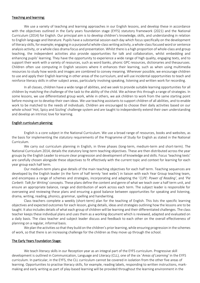#### Teaching and learning:

We use a variety of teaching and learning approaches in our English lessons, and develop these in accordance with the objectives outlined in the Early years foundation stage (EYFS) statutory framework (2021) and the National Curriculum (2014) for English. Our principal aim is to develop children's knowledge, skills, and understanding in relation to English language and literature. Pupils have a substantial session each day which focus specifically on the development of literacy skills, for example; engaging in a purposeful whole-class writing activity, a whole-class focused word or sentence analysis activity, or a whole class drama focus and presentation. Whilst there is a high proportion of whole-class and group teaching, the independent activities also provide opportunities for talk and collaboration, whilst embedding and enhancing pupils' learning. They have the opportunity to experience a wide range of high quality, engaging texts, and to support their work with a variety of resources, such as word banks, phonic GPC resources, dictionaries and thesauruses. Children often use computing in English sessions where it enhances their learning, such as when using multimedia resources to study how words and images are combined to convey meaning. Wherever possible, we encourage children to use and apply their English learning in other areas of the curriculum, and will use incidental opportunities to teach and reinforce literacy skills in other subject areas, particularly involving speaking, listening and written work for recording.

In all classes, children have a wide range of abilities, and we seek to provide suitable learning opportunities for all children by matching the challenge of the task to the ability of the child. We achieve this through a range of strategies. In some lessons, we use differentiated group work, while in others, we ask children to work from the same starting point before moving on to develop their own ideas. We use teaching assistants to support children of all abilities, and to enable work to be matched to the needs of individuals. Children are encouraged to choose their daily activities based on our whole school 'Hot, Spicy and Sizzling' challenge system and are taught to independently extend their own understanding and develop an intrinsic love for learning.

#### English curriculum planning:

English is a core subject in the National Curriculum. We use a broad range of resources, books and websites, as the basis for implementing the statutory requirements of the Programme of Study for English as stated in the National Curriculum.

We carry out curriculum planning in English, in three phases (long-term, medium-term and short-term). The National Curriculum 2014, details the statutory long-term teaching objectives. These are then distributed across the year groups by the English Leader to ensure clear progression and development of knowledge and skills. Focus 'teaching texts' are carefully chosen alongside these objectives to fit effectively with the current topic and context for learning for each year group each half term.

Our medium-term plans give details of the main teaching objectives for each half term. Teaching sequences are developed by the English leader (in the form of half termly 'text webs') in liaison with each Year Group teaching team, and encompass a range of schemes and strategies, incorporating and adapting the '*CLPE: Power of Reading'*, and *'Pie Corbett: Talk for Writing'* concepts. These plans define the content and genre of what we teach over a half term unit, and ensure an appropriate balance, range and distribution of work across each term. The subject leader is responsible for overseeing and reviewing these plans and ensuring a good balance between opportunities for speaking and listening, drama, writing, reading, phonics, grammar, spelling and handwriting.

Class teachers complete a weekly (short-term) plan for the teaching of English. This lists the specific learning objectives and expected outcomes for each lesson, giving details, ideas and strategies outlining how the lessons are to be taught. It also includes details of what each group of children will be learning and their differentiated challenges. The class teacher keeps these individual plans and uses them as a working document which is reviewed, adapted and evaluated on a daily basis. The class teacher and subject leader discuss and feedback to each other on the overall effectiveness of planning on a regular, informal basis.

We plan the activities so that they build on the children's prior learning, while ensuring progression in the schemes of work, so that there is an increasing challenge for the children as they move up through the school.

# The Early Years Foundation Stage:

We teach literacy skills in our Reception year as an integral part of the EYFS curriculum. Progressive skill development is outlined in Communication, Language and Literacy (CLL), one of the six '*Areas of Learning'* in the EYFS curriculum. In particular, in the EYFS, the CLL curriculum cannot be covered in isolation from the other five areas of learning. Opportunities to practise literacy skills, for example, reading labels, responding to written instructions, markmaking and early writing as part of play-based learning will be provided throughout the learning environment in the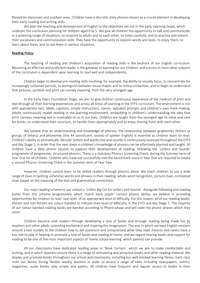Reception classroom and outdoor area. Children have a discrete, daily phonics lesson as a crucial element in developing their early reading and writing skills.

We plan the teaching and development of English to the objectives set out in the Early Learning Goals, which underpin the curriculum planning for children aged 0 to 5. We give all children the opportunity to talk and communicate in a widening range of situations, to respond to adults and to each other, to listen carefully, and to practise and extend their vocabulary and communication skills. They have the opportunity to explore words and texts, to enjoy them, to learn about them, and to use them in various situations.

#### Reading Policy:

The teaching of reading and children's acquisition of reading skills is the bedrock of our English curriculum. Becoming an effective and proficient reader is the gateway to learning for our children, and success in most other subjects of the curriculum is dependent upon learning to read well and independently.

Children begin to develop pre-reading skills involving, for example, the ability to visually focus, to concentrate for increasingly sustained periods, to distinguish between visual shapes and to notice similarities, and to begin to understand that pictures, symbols and print can convey meaning, from the very youngest age.

In the Early Years Foundation Stage, we aim to give children continuous experience of the medium of print and text through all their learning experiences and across all Areas of Learning in the EYFS curriculum. The environment is rich with appropriate text: labels, captions, simple instructions, names, alphabet prompts and children's own mark-making. Adults continuously model reading in the learning environment, embedding in children's understanding the idea that print conveys meaning and is invaluable to us in our lives. Children are taught from the youngest age to value and care for books, to understand their structure, to handle them appropriately and to enjoy sharing them with each other.

We believe that an understanding and knowledge of phonics, the relationship between graphemes (letters or groups of letters) and phonemes (the 44 constituent sounds of spoken English) is essential as children learn to read. Children's ability to phonetically 'decode' letters and words into oral sounds is continuously assessed throughout the EYFS and Key Stage 1, in order that the next steps in children's knowledge of phonics can be effectively planned and taught. All children have a daily phonic session to support their development of reading, following the '*Letters and Sounds'* programme of progressive, structured phonics. There is a statutory Phonics Screening Check, during the Summer term of Year One for all children. Children who have not successfully met the benchmark score in Year One are required to retake a second Phonics Screening Check in the Summer term of Year Two.

However, children cannot learn to be skilled readers through phonics alone. We teach children to use a wide range of clues in tackling unfamiliar words and phrases in their reading: whole word recognition, picture clues, contextual clues based on the meaning of the text and grammatical correctness.

Our main reading scheme in our school is '*Collins Big Cat for Letters and Sounds'*. Alongside following and reading books from this scheme progressively which match each pupils' current phonic ability, we believe in providing opportunities for children to read 'real texts' of an appropriate level of difficulty. For this reason, all of our reading books, (fiction and non-fiction) are colour-banded to indicate their level of difficulty, in the EYFS and Key Stage 1. The majority of our colour-banded reading books are banded according to Phonic phase and will state the phonic phases which they cover.

Children become avid readers through developing a love of books and through reading being made fun by teachers and other adults, providing excitement and inspiring the imagination. The way in which we base English sessions around a text models to the children how to ask questions and comprehend what they read. Parents and carers have a key role to play in helping to promote a love of books and reading at home, and we regard sharing books and support for reading to be one of the most important aspects of 'home school learning' which parents can provide.

All our classrooms have dedicated reading areas or 'Book Corners', which we aim to make comfortable and inviting, and in which teachers ensure there is a range of stimulating and attractive books and other reading material. We display and promote books throughout our school and classrooms, including our well stocked learning library. Each class visits our library during flexible weekly sessions in order to access a range of texts including newspapers, comics, magazines, audio books, play scripts and poetry. All children have frequent and regular access to books in their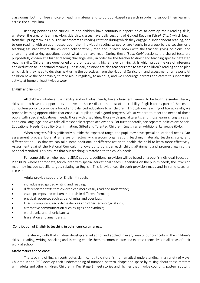classrooms, both for free choice of reading material and to do book-based research in order to support their learning across the curriculum.

Reading pervades the curriculum and children have continuous opportunities to develop their reading skills, whatever the area of learning. Alongside this, classes have daily sessions of Guided Reading ('*Book Club'*) which begin from the Spring term in EYFS. This incorporates a reading rotation during which they engage in: independent reading, one to one reading with an adult based upon their individual reading target, or are taught in a group by the teacher or a teaching assistant where the children collaboratively read and 'dissect' books with the teacher, giving opinions, and answering and asking questions about what they have read. During these *'Book Club'* sessions, the shared texts are purposefully chosen at a higher reading challenge level, in order for the teacher to direct and teaching specific next step reading skills. Children are questioned and prompted using higher level thinking skills which probe the use of inference and deduction to understand meaning. These daily sessions are also teachers time to assess children's reading and to plan which skills they need to develop next using the objectives from the National Curriculum and assessment framework. All children have the opportunity to read aloud regularly, to an adult, and we encourage parents and carers to support this activity at home at least twice a week.

#### English and Inclusion:

All children, whatever their ability and individual needs, have a basic entitlement to be taught essential literacy skills, and to have the opportunity to develop those skills to the best of their ability. English forms part of the school curriculum policy to provide a broad and balanced education to all children. Through our teaching of literacy skills, we provide learning opportunities that enable all pupils to make good progress. We strive hard to meet the needs of those pupils with special educational needs, those with disabilities, those with special talents, and those learning English as an additional language, and we take all reasonable steps to achieve this. For further details, see separate policies on: Special Educational Needs; Disability Discrimination; Gifted and Talented Children; English as an Additional Language (EAL).

When progress falls significantly outside the expected range, the pupil may have special educational needs. Our assessment process looks at a range of factors – classroom organisation, teaching materials, teaching style, and differentiation – so that we can take some additional or different action to enable the child to learn more effectively. Assessment against the National Curriculum allows us to consider each child's attainment and progress against the national standard. This ensures that our teaching is matched to the child's needs.

For some children who require SEND support, additional provision will be based on a pupil's Individual Education Plan (IEP), where appropriate, for children with special educational needs. Depending on the pupil's needs, the Provision map may include specific targets relating to English. This is evidenced through provision maps and in some cases an EHCP.P

Adults provide support for English through:

- individualised guided writing and reading;
- differentiated texts that children can more easily read and understand;
- visual prompts and written materials in different formats;
- physical resources such as pencil grips and over lays;
- I Pads, computers, recordable devices and other technological aids;
- alternative communication such as signs and symbols;
- word banks and phonic banks:
- translation and amanuensis.

#### Contribution of English to teaching in other curriculum areas:

The literacy skills that children develop are linked to, and applied in every area of our curriculum. The children's skills in reading, writing, speaking and listening enable them to communicate and express themselves in all areas of their work at school.

#### Mathematics and Science:

The teaching of English contributes significantly to children's mathematical understanding, in a variety of ways. Children in the EYFS develop their understanding of number, pattern, shape and space by talking about these matters with adults and other children. Children in Key Stage 1 meet stories and rhymes that involve counting, pattern spotting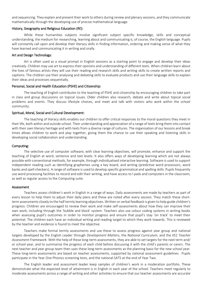and sequencing. They explain and present their work to others during review and plenary sessions, and they communicate mathematically through the developing use of precise mathematical language.

#### History, Geography and Religious Education (RE):

While these humanities subjects involve significant subject specific knowledge, skills and conceptual understanding, the medium for researching, learning about and communicating is, of course, the English language. Pupils will constantly call upon and develop their literacy skills in finding information, ordering and making sense of what they have learned and communicating it in writing and orally.

#### Art and Design Technology:

Art is often used as a visual prompt in English sessions as a starting point to engage and develop their ideas creatively. Children may use art to express their opinions and understanding of different texts. When children learn about the lives of famous artists they will use their reading and research skills and writing skills to create written reports and captions. The children use their analysing and debating skills to evaluate products and use their language skills to explain their ideas and processes sequentially.

#### Personal, Social and Health Education (PSHE) and Citizenship:

The teaching of English contributes to the teaching of PSHE and citizenship by encouraging children to take part in class and group discussions on topical issues. Older children also research, debate and write about topical social problems and events. They discuss lifestyle choices, and meet and talk with visitors who work within the school community.

#### Spiritual, Moral, Social and Cultural Development:

The teaching of literacy skills enables our children to offer critical responses to the moral questions they meet in their life, both within and outside school. Their understanding and appreciation of a range of texts bring them into contact with their own literary heritage and with texts from a diverse range of cultures. The organisation of our lessons and break times allows children to work and play together, giving them the chance to use their speaking and listening skills in developing social collaboration and understanding.

#### Computing:

The selective use of computer software, with clear learning objectives, will promote, enhance and support the teaching of English at word, sentence and text levels. It also offers ways of developing learning which are not always possible with conventional methods, for example, through individualised interactive learning. Software is used to support independent reading such as identifying graphemes using a key board, and writing (predictive word processors, word banks and spell checkers). A range of software is used to develop specific grammatical and spelling skills. Pupils frequently use word processing facilities to record and edit their writing, and have access to I pads and computers in the classroom, as well as regular access to the Computing suite.

#### **Assessment**

Teachers assess children's work in English in a range of ways. Daily assessments are made by teachers as part of every lesson to help them to adjust their daily plans and these are noted after every session. They match these shortterm assessments closely to the half termly learning objectives. Written or verbal feedback is given to help guide children's progress. Children are encouraged to review their work and make self-assessments about how they can improve their own work, including through the 'bubble and block' system. Teachers also use colour coding systems in writing books when assessing pupil's outcomes in order to monitor progress and ensure that pupil's stay 'on track' to meet their potential. The children each have an individual writing and reading target to which they work towards. This is reviewed by the teacher and evidence is found to meet the objective.

Teachers make formal termly assessments and use these to assess progress against year group and national targets developed by the English Leader through *Development Matters*, the *National Curriculum*, and the *KS1 Teacher Assessment Framework.* With the help of these long-term assessments, they are able to set targets for the next term and/ or school year, and to summarise the progress of each child before discussing it with the child's parents or carers. The next teacher and year group team then uses these long-term assessments as the planning basis for the new school year. These long-term assessments are based on teacher assessments, supported by national assessment guidelines. Pupils participate in the Year One Phonics screening tests, and the national SATS at the end of Year Two.

The English leader and assessment leader keep samples of children's work in a moderation portfolio. These demonstrate what the expected level of attainment is in English in each year of the school. Teachers meet regularly to moderate assessments across a range of writing and other activities to ensure that our teacher assessments are accurate